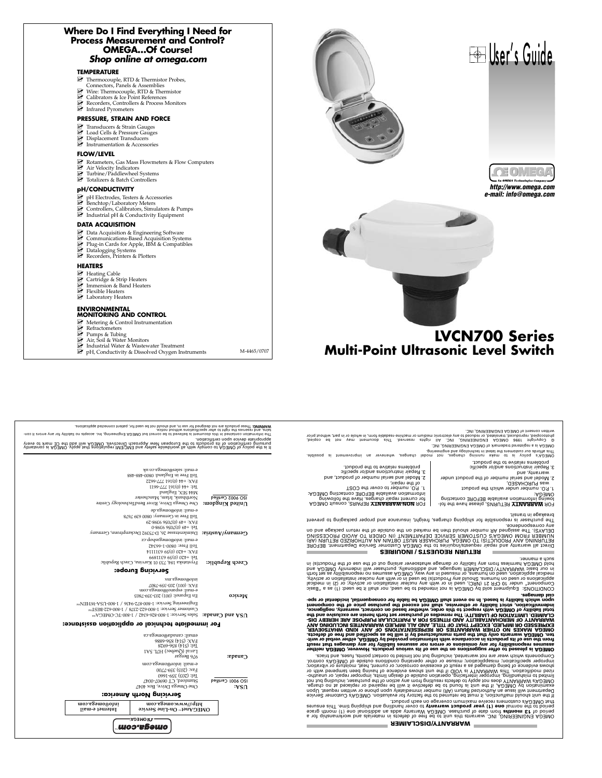| Where Do I Find Everything I Need for<br>Process Measurement and Control?<br><b>OMEGAOf Course!</b><br>Shop online at omega.com                                                            |                                                |
|--------------------------------------------------------------------------------------------------------------------------------------------------------------------------------------------|------------------------------------------------|
| <b>TEMPERATURE</b><br>Thermocouple, RTD & Thermistor Probes,                                                                                                                               |                                                |
| Connectors, Panels & Assemblies<br>Wire: Thermocouple, RTD & Thermistor<br>Calibrators & Ice Point References<br>Recorders, Controllers & Process Monitors<br>Infrared Pyrometers          |                                                |
| PRESSURE, STRAIN AND FORCE                                                                                                                                                                 |                                                |
| Transducers & Strain Gauges<br>Le Load Cells & Pressure Gauges<br>Displacement Transducers<br>Instrumentation & Accessories                                                                |                                                |
| <b>FLOW/LEVEL</b>                                                                                                                                                                          |                                                |
| Rotameters, Gas Mass Flowmeters & Flow Computers<br>Air Velocity Indicators<br>Turbine/Paddlewheel Systems<br>Totalizers & Batch Controllers                                               | 月口                                             |
| <b>pH/CONDUCTIVITY</b>                                                                                                                                                                     | http://www.omega.com<br>e-mail: info@omega.com |
| ☑<br>pH Electrodes, Testers & Accessories<br>Benchtop/Laboratory Meters<br>L' Controllers, Calibrators, Simulators & Pumps<br>$\mathbb Z$ Industrial pH & Conductivity Equipment           |                                                |
| <b>DATA ACQUISITION</b>                                                                                                                                                                    |                                                |
| Data Acquisition & Engineering Software<br>Communications-Based Acquisition Systems<br>Plug-in Cards for Apple, IBM & Compatibles<br>Datalogging Systems<br>Recorders, Printers & Plotters |                                                |
| <b>HEATERS</b>                                                                                                                                                                             |                                                |
| Heating Cable<br><sup>2</sup> Cartridge & Strip Heaters<br>Immersion & Band Heaters<br>Flexible Heaters<br>Laboratory Heaters                                                              |                                                |
| <b>ENVIRONMENTAL</b><br><b>MONITORING AND CONTROL</b><br>Metering & Control Instrumentation                                                                                                |                                                |
| $\blacktriangleright$ Refractometers<br>Pumps & Tubing                                                                                                                                     | <b>LVCN700 Series</b>                          |
| Air, Soil & Water Monitors<br>Industrial Water & Wastewater Treatment                                                                                                                      | <b>Multi-Point Ultrasonic Level Switch</b>     |
| M-4465/0707<br>$\mathbb{F}$ pH, Conductivity & Dissolved Oxygen Instruments                                                                                                                |                                                |

| wRRUING: These products are not designed for use in and should not be used for, patient connected applications.<br>The independent on the particle is beinging to be correct but OMEGA Engineeand, Inc. accepts no Isability for any lemic on-    | tains, and reserves the right to alter specifications without notice. | written consent of OMEGA ENGINEERING, INC.<br>photocopied, reproduced, translated, or reduced to any electronic machine machine-readable form, in whole or in part, without prior<br>© Copyright 1996 OMEGA ENGINEERING, INC. All rights reserved. This document may not be copied,                                                                                                                                                                                                                                                                                                                                                                                                                                                                                                                                                                                                                                                                                                                                         |
|---------------------------------------------------------------------------------------------------------------------------------------------------------------------------------------------------------------------------------------------------|-----------------------------------------------------------------------|-----------------------------------------------------------------------------------------------------------------------------------------------------------------------------------------------------------------------------------------------------------------------------------------------------------------------------------------------------------------------------------------------------------------------------------------------------------------------------------------------------------------------------------------------------------------------------------------------------------------------------------------------------------------------------------------------------------------------------------------------------------------------------------------------------------------------------------------------------------------------------------------------------------------------------------------------------------------------------------------------------------------------------|
| it is the policy of OD/EGO, to comply with all worldwide safety about the figures that apply. OD/EGO is consta<br>pursuing certification of its products to the European New Approacil Directives. OMEGA will add the CE mark to<br>              |                                                                       | OMEGA is a registered trademark of OMEGA ENGINEERING, INC.<br>This affords our customers the latest in technology and engineering.<br>OMEGA's policy is possible. Dave running changes, no hoodel changes, whenever an improvement is possible.                                                                                                                                                                                                                                                                                                                                                                                                                                                                                                                                                                                                                                                                                                                                                                             |
| e-mail: sales@omega.co.uk<br>Toll Free in England: 0800-488-488<br>ZZ99-ZZZ I9I(0) FF+ :XV:I<br>II99-ZZZ I9I(0) FF+ : PL<br>busignal XHS PPM<br>Northbank, Irlam, Manchester<br>One Omega Drive, River BendTechnology Centre                      | ISO 9002 Certified<br>$\cdot$ mobgni $N$ bətin $U$                    | problems relative to the product.<br>3. Repair instructions and/or specific<br>problems relative to the product.<br>3. Repair instructions and/or specific<br>warranty, and<br>2. Model and serial number of product, and<br>2. Model and serial number of the product under<br>of the repair,<br>Was PURCHASED,<br>1. P.O. number to cover the COST<br>1. P.O. number under which the product<br>information available BEFORE contacting OMEGA:<br>OMEGA:<br>lowing information available BEFORE contacting<br>for current repair charges. Have the following<br>FOR NON-WARRANTY REPAIRS, consult OMEGA<br>FOR WARRANTY RETURNS, please have the fol-                                                                                                                                                                                                                                                                                                                                                                     |
| e-mail: info@omega.de<br>Toll Free in Germany: 0800 639 7678<br>67-8666 990Z(0) 67+ : XV-I<br>0-86£6 9£02(0) 67+ :191<br>Germany/Austria: Daimlerstrasse 26, D-75392 Deckenpfrom, Germany<br>e-mail: info@omegashop.cz<br>Toll Free: 0800-1-66342 |                                                                       | breakage in transit.<br>The purchaser is responsible for shipping charges, freight, insurance and proper packaging to prevent<br>any correspondence.<br>DELAYS). The assigned AR number should then be marked on the outside of the return package and on<br>Direct all warranty and repair requirent of the ONEGA Customer Development. Before the specific of the specifi<br>The specific and the specific specification of the specific specific specific and the specific specific specif<br>                                                                                                                                                                                                                                                                                                                                                                                                                                                                                                                           |
| 4111166 (0) 594 :XAH<br>6681169 69(0) 077+ 191<br>Frystatska 184, 733 01 Karvina, Czech Republic<br>Servicing Europe:                                                                                                                             | Czech Republic:                                                       | <b>RETURN REQUESTS / INQUIRIES</b><br>such a manner.<br>ni (e) to the Product(s) in the set of the proposers are proposers an insing out to the eas of the Product(s) in<br>in our basic WARRANTY/DISCLAIMER language, and additionally, purchaser will indemnify OMEGA and<br>medical pas se vilidiznoqaen on zemuzes AD3MO , ew yns ni bezuzim no , znsmund no bezu , noitsoilqqs lsoibem                                                                                                                                                                                                                                                                                                                                                                                                                                                                                                                                                                                                                                 |
| xureSəmo®olni<br>FAX: (001) 203-359-7807<br>e-mail: espanol@omega.com<br>En Espanol: (001) 203-359-7803                                                                                                                                           | оэіхәім                                                               | applications or used on humans. Should any Product(s) be used in or with any nuclear installation or activity,<br>Component" under 10 CFR 21 (NRC), used in or with any nuclear installation or activity; or (2) in medical<br>columping is a felling and the set of the souls is a set of the per read, nor shall it be used: (1) as a "Basic<br>cısı qsuusâez <sup>.</sup>                                                                                                                                                                                                                                                                                                                                                                                                                                                                                                                                                                                                                                                |
| Engineering Service: 1-800-872-9430 / 1-800-NSV-MHE/Nsw<br>Customer Service: 1-800-622-2378 / 1-800-622-BEST <sup>8M</sup><br><b>USA and Canada:</b> Sales Service: 1-800-826-6342 / 1-800-TC-OMEGA <sup>8M</sup>                                 |                                                                       | upor which liability is beed. In no event shall OMEGA be liable for consequential, incidental or spe-<br>indennification, strict liability or otherwise, shall not exceed the purchase price of the component<br>total liability of OMEGA with respect to this order, whether based on contract, warranty, negligence,<br>CLAIMED. LIMITATION OF LIABILITY: The remedies of purchaser set forth herein are exclusive and the                                                                                                                                                                                                                                                                                                                                                                                                                                                                                                                                                                                                |
| For immediate technical or application assistance:<br>enail: canada@omega.ca<br>3889-958 (PIS) :XVH<br>$8769 - 998$ ( $F19$ ) $F91$<br>Laval (Quebec) H7L 5A1                                                                                     |                                                                       | WARRANTY OF MERCHANTABILITY AND FITNESS FOR A PARTICULAR PURPOSE ARE HEREBY DIS-<br>EXPRESSED OR IMPLIED, EXCEPT THAT OF TITLE, AND ALL IMPLIED WARRANTIES INCLUDING ANY<br>onega makes no other warratives or representations of any kind whatsoever,<br>ter in the of defects warrengt the parts respective to the set of the seed the support of the of defects.<br>from the use of its publicts in accordance with information provided by OMEGA, either verbal or writ-<br>assumes responsibility for any omissions or errors nor assumes liability for any damages that result<br>OMEGA is pleased to offer suggestions on the use of its various products. However, OMEGA neither                                                                                                                                                                                                                                                                                                                                    |
| 976 Bergar<br>e-mail: intor@omega.com<br>$00\angle 2 - 695$ (£02) $\exp$<br>Tel: (203) 359-1660<br>ZF00-Z0690 L. Projurers<br>$O$ ne $O$ mega Drive, Box 4047<br>Servicing North America:                                                         | $C$ speue:<br>ISO 9001 Certified<br>÷νs∩                              | components who is assured to a member in the proport of the contact points, then a served to see that the seri<br>improper specification; misapplication; misuse or other operating conditions outaide of OMEGA's control.<br>shows evidence of being damaged as a result of excessive corrosion; or current, heat, moisture or vibration;<br>no dtiw beneqmst need gnivsn to eonebive awons tinu ent ti QIOV at YTMARRAW ainT .noitsoftibom besin<br>limited to mishandling, improper interfacing, operation outside of design limits, improper repair, or unautho-<br>10n full bright was also the position of the creating from the violet of the purchaser, including the purinor<br>examinato on the base day to be used it and to be defective it will be repained or replaced at no charge.<br>Department will issue an Authorized Return (AA) number immediately upon phone or written request. Upon<br>ff the unit should malfunction, it must be returned to the factory for evaluation. OMEGA's Customer Service |
| moo.sgomo@oini<br>поэ взэшо ммм//: фи<br>lismet e-mail<br>OMEGAnet <sup>®</sup> On-Line Service<br><b>TEOMEGA:</b>                                                                                                                                |                                                                       | that OMEGA's customers receive maximum coverage on each product.<br>period to the nonsal one (1) year product warranty to cover hangles by and shipping time. This ensures<br>period of 13 nonthe more as the of purchase. ONEGA Warrany adds an additional one (1) month grace<br>OMEGA ENGINEERING, INC. warrants thiu it to be tree of defects in materials and workmanship for a                                                                                                                                                                                                                                                                                                                                                                                                                                                                                                                                                                                                                                        |
| шоэ евешо                                                                                                                                                                                                                                         |                                                                       | <b>ARRANTY/DISCLAIMER</b>                                                                                                                                                                                                                                                                                                                                                                                                                                                                                                                                                                                                                                                                                                                                                                                                                                                                                                                                                                                                   |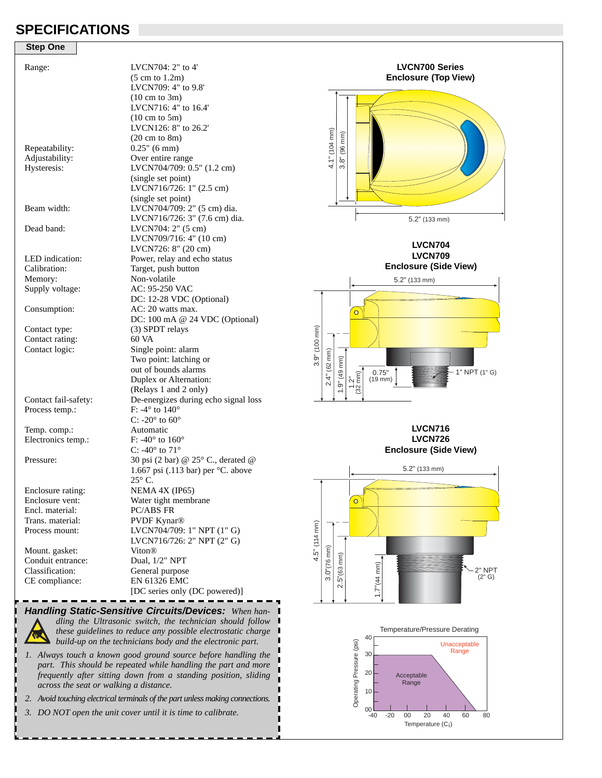### **SPECIFICATIONS**

| <b>Step One</b>      |                                       |
|----------------------|---------------------------------------|
| Range:               | LVCN704: 2" to 4"                     |
|                      | $(5 \text{ cm to } 1.2 \text{m})$     |
|                      | LVCN709: 4" to 9.8"                   |
|                      | $(10 \text{ cm to } 3\text{m})$       |
|                      | LVCN716: 4" to 16.4"                  |
|                      | $(10 \text{ cm to } 5\text{m})$       |
|                      | LVCN126: 8" to 26.2"                  |
|                      | $(20 \text{ cm to } 8\text{m})$       |
| Repeatability:       | $0.25$ " (6 mm)                       |
| Adjustability:       | Over entire range                     |
| Hysteresis:          | LVCN704/709: 0.5" (1.2 cm)            |
|                      | (single set point)                    |
|                      | LVCN716/726: 1" (2.5 cm)              |
|                      | (single set point)                    |
| Beam width:          | LVCN704/709: 2" (5 cm) dia.           |
|                      | LVCN716/726: 3" (7.6 cm) dia.         |
| Dead band:           |                                       |
|                      | LVCN704: 2" (5 cm)                    |
|                      | LVCN709/716: 4" (10 cm)               |
|                      | LVCN726: 8" (20 cm)                   |
| LED indication:      | Power, relay and echo status          |
| Calibration:         | Target, push button                   |
| Memory:              | Non-volatile                          |
| Supply voltage:      | AC: 95-250 VAC                        |
|                      | DC: 12-28 VDC (Optional)              |
| Consumption:         | AC: 20 watts max.                     |
|                      | DC: 100 mA @ 24 VDC (Optional)        |
| Contact type:        | (3) SPDT relays                       |
| Contact rating:      | 60 VA                                 |
| Contact logic:       | Single point: alarm                   |
|                      | Two point: latching or                |
|                      | out of bounds alarms                  |
|                      | Duplex or Alternation:                |
|                      | (Relays 1 and 2 only)                 |
| Contact fail-safety: | De-energizes during echo signal loss  |
| Process temp.:       | F: -4 $\degree$ to 140 $\degree$      |
|                      | C: -20 $^{\circ}$ to 60 $^{\circ}$    |
| Temp. comp.:         | Automatic                             |
| Electronics temp.:   | F: -40 $\degree$ to 160 $\degree$     |
|                      | C: -40 $\degree$ to 71 $\degree$      |
| Pressure:            | 30 psi (2 bar) @ 25° C., derated @    |
|                      | 1.667 psi (.113 bar) per $°C$ . above |
|                      | $25^{\circ}$ C.                       |
| Enclosure rating:    | NEMA 4X (IP65)                        |
| Enclosure vent:      | Water tight membrane                  |
| Encl. material:      | <b>PC/ABS FR</b>                      |
| Trans. material:     | <b>PVDF Kynar®</b>                    |
| Process mount:       | LVCN704/709: 1" NPT (1" G)            |
|                      | LVCN716/726: 2" NPT (2" G)            |
| Mount. gasket:       | Viton®                                |
| Conduit entrance:    | Dual, 1/2" NPT                        |
| Classification:      | General purpose                       |
| CE compliance:       | EN 61326 EMC                          |
|                      | [DC series only (DC powered)]         |
|                      |                                       |

**Enclosure (Top View)** $4.1" (104 mm)$ 4.1" (104 mm)  $(96 \text{ mm})$ 3.8" (96 mm)  $3.8"$ 5.2" (133 mm)

**LVCN700 Series**

**LVCN704 LVCN709** 

**Enclosure (Side View)**



**LVCN716 LVCN726 Enclosure (Side View)**





*Handling Static-Sensitive Circuits/Devices: When handling the Ultrasonic switch, the technician should follow these guidelines to reduce any possible electrostatic charge build-up on the technicians body and the electronic part.*

r

- *1. Always touch a known good ground source before handling the part. This should be repeated while handling the part and more frequently after sitting down from a standing position, sliding across the seat or walking a distance.*
- *2. Avoid touching electrical terminals of the part unless making connections.*
- *3. DO NOT open the unit cover until it is time to calibrate.*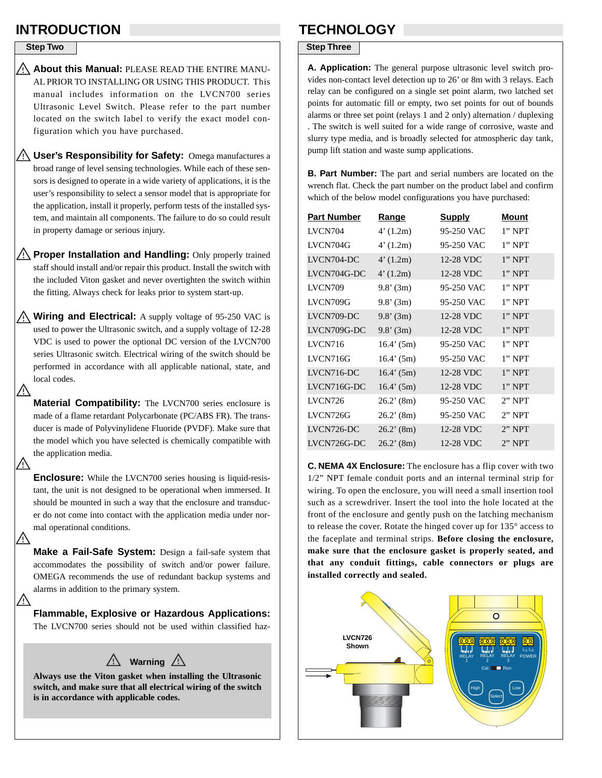### **INTRODUCTION TECHNOLOGY**

**Step Two**

V,

∕!`

⁄!`

**About this Manual:** PLEASE READ THE ENTIRE MANU-AL PRIOR TO INSTALLING OR USING THIS PRODUCT. This manual includes information on the LVCN700 series Ultrasonic Level Switch. Please refer to the part number located on the switch label to verify the exact model configuration which you have purchased.

**User's Responsibility for Safety:** Omega manufactures a broad range of level sensing technologies. While each of these sensors is designed to operate in a wide variety of applications, it is the user's responsibility to select a sensor model that is appropriate for the application, install it properly, perform tests of the installed system, and maintain all components. The failure to do so could result in property damage or serious injury.

**Proper Installation and Handling:** Only properly trained staff should install and/or repair this product. Install the switch with the included Viton gasket and never overtighten the switch within the fitting. Always check for leaks prior to system start-up.

**Wiring and Electrical:** A supply voltage of 95-250 VAC is used to power the Ultrasonic switch, and a supply voltage of 12-28 VDC is used to power the optional DC version of the LVCN700 series Ultrasonic switch. Electrical wiring of the switch should be performed in accordance with all applicable national, state, and local codes.

**Material Compatibility:** The LVCN700 series enclosure is made of a flame retardant Polycarbonate (PC/ABS FR). The transducer is made of Polyvinylidene Fluoride (PVDF). Make sure that the model which you have selected is chemically compatible with the application media.

**Enclosure:** While the LVCN700 series housing is liquid-resistant, the unit is not designed to be operational when immersed. It should be mounted in such a way that the enclosure and transducer do not come into contact with the application media under normal operational conditions.

**Make a Fail-Safe System:** Design a fail-safe system that accommodates the possibility of switch and/or power failure. OMEGA recommends the use of redundant backup systems and alarms in addition to the primary system.

**Flammable, Explosive or Hazardous Applications:** The LVCN700 series should not be used within classified haz-



**Always use the Viton gasket when installing the Ultrasonic switch, and make sure that all electrical wiring of the switch is in accordance with applicable codes.**

### **Step Three**

**A. Application:** The general purpose ultrasonic level switch provides non-contact level detection up to 26' or 8m with 3 relays. Each relay can be configured on a single set point alarm, two latched set points for automatic fill or empty, two set points for out of bounds alarms or three set point (relays 1 and 2 only) alternation / duplexing . The switch is well suited for a wide range of corrosive, waste and slurry type media, and is broadly selected for atmospheric day tank, pump lift station and waste sump applications.

**B. Part Number:** The part and serial numbers are located on the wrench flat. Check the part number on the product label and confirm which of the below model configurations you have purchased:

| <b>Part Number</b> | <u>Range</u> | <b>Supply</b> | Mount     |
|--------------------|--------------|---------------|-----------|
| LVCN704            | 4'(1.2m)     | 95-250 VAC    | $1$ " NPT |
| LVCN704G           | 4'(1.2m)     | 95-250 VAC    | $1"$ NPT  |
| LVCN704-DC         | 4'(1.2m)     | 12-28 VDC     | $1$ " NPT |
| LVCN704G-DC        | 4'(1.2m)     | 12-28 VDC     | $1$ " NPT |
| <b>LVCN709</b>     | $9.8'$ (3m)  | 95-250 VAC    | $1"$ NPT  |
| LVCN709G           | $9.8'$ (3m)  | 95-250 VAC    | $1"$ NPT  |
| LVCN709-DC         | $9.8'$ (3m)  | 12-28 VDC     | $1"$ NPT  |
| LVCN709G-DC        | 9.8'(3m)     | 12-28 VDC     | $1$ " NPT |
| LVCN716            | 16.4' (5m)   | 95-250 VAC    | $1"$ NPT  |
| <b>LVCN716G</b>    | 16.4' (5m)   | 95-250 VAC    | $1"$ NPT  |
| LVCN716-DC         | 16.4' (5m)   | 12-28 VDC     | $1"$ NPT  |
| LVCN716G-DC        | $16.4'$ (5m) | 12-28 VDC     | $1$ " NPT |
| LVCN726            | $26.2'$ (8m) | 95-250 VAC    | $2"$ NPT  |
| LVCN726G           | $26.2'$ (8m) | 95-250 VAC    | $2"$ NPT  |
| LVCN726-DC         | $26.2'$ (8m) | 12-28 VDC     | $2"$ NPT  |
| LVCN726G-DC        | $26.2'$ (8m) | 12-28 VDC     | $2$ " NPT |
|                    |              |               |           |

**C. NEMA 4X Enclosure:** The enclosure has a flip cover with two 1/2" NPT female conduit ports and an internal terminal strip for wiring. To open the enclosure, you will need a small insertion tool such as a screwdriver. Insert the tool into the hole located at the front of the enclosure and gently push on the latching mechanism to release the cover. Rotate the hinged cover up for 135° access to the faceplate and terminal strips. **Before closing the enclosure, make sure that the enclosure gasket is properly seated, and that any conduit fittings, cable connectors or plugs are installed correctly and sealed.**

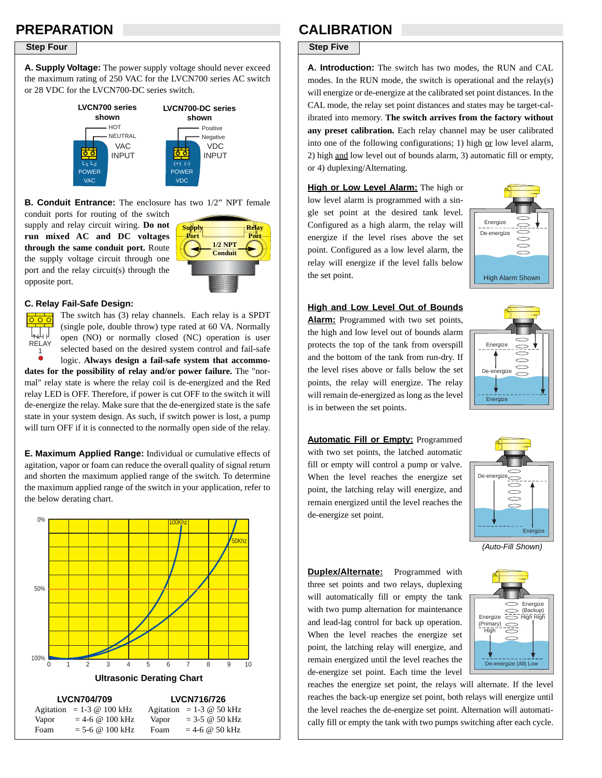## **PREPARATION**

**A. Supply Voltage:** The power supply voltage should never exceed the maximum rating of 250 VAC for the LVCN700 series AC switch or 28 VDC for the LVCN700-DC series switch.



**B. Conduit Entrance:** The enclosure has two 1/2" NPT female

conduit ports for routing of the switch supply and relay circuit wiring. **Do not run mixed AC and DC voltages through the same conduit port.** Route the supply voltage circuit through one port and the relay circuit(s) through the opposite port.



#### **C. Relay Fail-Safe Design:**



The switch has (3) relay channels. Each relay is a SPDT (single pole, double throw) type rated at 60 VA. Normally open (NO) or normally closed (NC) operation is user selected based on the desired system control and fail-safe

logic. **Always design a fail-safe system that accommodates for the possibility of relay and/or power failure.** The "normal" relay state is where the relay coil is de-energized and the Red relay LED is OFF. Therefore, if power is cut OFF to the switch it will de-energize the relay. Make sure that the de-energized state is the safe state in your system design. As such, if switch power is lost, a pump will turn OFF if it is connected to the normally open side of the relay.

**E. Maximum Applied Range:** Individual or cumulative effects of agitation, vapor or foam can reduce the overall quality of signal return and shorten the maximum applied range of the switch. To determine the maximum applied range of the switch in your application, refer to the below derating chart.



### **CALIBRATION**

### **Step Four Step Five Step Five Step Five Step Five**

**A. Introduction:** The switch has two modes, the RUN and CAL modes. In the RUN mode, the switch is operational and the relay(s) will energize or de-energize at the calibrated set point distances. In the CAL mode, the relay set point distances and states may be target-calibrated into memory. **The switch arrives from the factory without any preset calibration.** Each relay channel may be user calibrated into one of the following configurations; 1) high or low level alarm, 2) high and low level out of bounds alarm, 3) automatic fill or empty, or 4) duplexing/Alternating.

**High or Low Level Alarm:** The high or low level alarm is programmed with a single set point at the desired tank level. Configured as a high alarm, the relay will energize if the level rises above the set point. Configured as a low level alarm, the relay will energize if the level falls below the set point.



#### **High and Low Level Out of Bounds**

**Alarm:** Programmed with two set points, the high and low level out of bounds alarm protects the top of the tank from overspill and the bottom of the tank from run-dry. If the level rises above or falls below the set points, the relay will energize. The relay will remain de-energized as long as the level is in between the set points.



**Automatic Fill or Empty:** Programmed with two set points, the latched automatic fill or empty will control a pump or valve. When the level reaches the energize set point, the latching relay will energize, and remain energized until the level reaches the de-energize set point.



*(Auto-Fill Shown)*

Energize (Backup)<br>Energize  $\overline{\phantom{A}}$  High High

- - - - - - - - - - - - -<br>De-energize (All) Lov

(Primary<u>)</u><br> ̄ High

**Duplex/Alternate:** Programmed with three set points and two relays, duplexing will automatically fill or empty the tank with two pump alternation for maintenance and lead-lag control for back up operation. When the level reaches the energize set point, the latching relay will energize, and remain energized until the level reaches the de-energize set point. Each time the level

reaches the energize set point, the relays will alternate. If the level reaches the back-up energize set point, both relays will energize until the level reaches the de-energize set point. Alternation will automatically fill or empty the tank with two pumps switching after each cycle.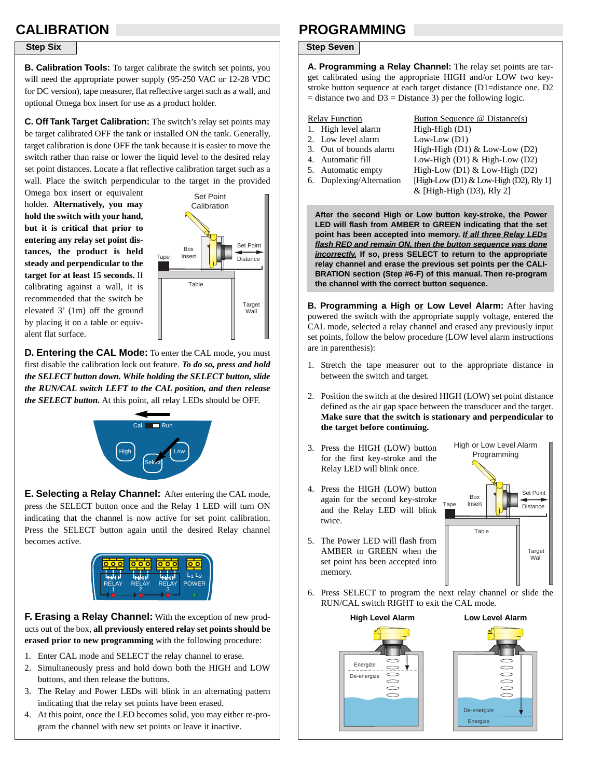# **CALIBRATION**

**B. Calibration Tools:** To target calibrate the switch set points, you will need the appropriate power supply (95-250 VAC or 12-28 VDC for DC version), tape measurer, flat reflective target such as a wall, and optional Omega box insert for use as a product holder.

**C. Off Tank Target Calibration:** The switch's relay set points may be target calibrated OFF the tank or installed ON the tank. Generally, target calibration is done OFF the tank because it is easier to move the switch rather than raise or lower the liquid level to the desired relay set point distances. Locate a flat reflective calibration target such as a wall. Place the switch perpendicular to the target in the provided

Omega box insert or equivalent holder. **Alternatively, you may hold the switch with your hand, but it is critical that prior to entering any relay set point distances, the product is held steady and perpendicular to the target for at least 15 seconds.** If calibrating against a wall, it is recommended that the switch be elevated 3' (1m) off the ground by placing it on a table or equivalent flat surface.



**D. Entering the CAL Mode:** To enter the CAL mode, you must first disable the calibration lock out feature. *To do so, press and hold the SELECT button down. While holding the SELECT button, slide the RUN/CAL switch LEFT to the CAL position, and then release the SELECT button.* At this point, all relay LEDs should be OFF.



**E. Selecting a Relay Channel:** After entering the CAL mode, press the SELECT button once and the Relay 1 LED will turn ON indicating that the channel is now active for set point calibration. Press the SELECT button again until the desired Relay channel becomes active.



**F. Erasing a Relay Channel:** With the exception of new products out of the box, **all previously entered relay set points should be erased prior to new programming** with the following procedure:

- 1. Enter CAL mode and SELECT the relay channel to erase.
- 2. Simultaneously press and hold down both the HIGH and LOW buttons, and then release the buttons.
- 3. The Relay and Power LEDs will blink in an alternating pattern indicating that the relay set points have been erased.
- 4. At this point, once the LED becomes solid, you may either re-program the channel with new set points or leave it inactive.

### **PROGRAMMING**

### **Step Six Step Six Step Seven**

**A. Programming a Relay Channel:** The relay set points are target calibrated using the appropriate HIGH and/or LOW two keystroke button sequence at each target distance (D1=distance one, D2  $=$  distance two and D3  $=$  Distance 3) per the following logic.

- 1. High level alarm High-High (D1)
- 2. Low level alarm Low-Low (D1)
- 
- 
- 
- 

Relay Function Button Sequence @ Distance(s) 3. Out of bounds alarm High-High  $(D1)$  & Low-Low  $(D2)$ 4. Automatic fill Low-High (D1) & High-Low (D2) 5. Automatic empty High-Low (D1) & Low-High (D2) 6. Duplexing/Alternation [High-Low (D1) & Low-High (D2), Rly 1]  $&$  [High-High (D3), Rly 2]

**After the second High or Low button key-stroke, the Power LED will flash from AMBER to GREEN indicating that the set point has been accepted into memory.** *If all three Relay LEDs flash RED and remain ON, then the button sequence was done incorrectly.* **If so, press SELECT to return to the appropriate relay channel and erase the previous set points per the CALI-BRATION section (Step #6-F) of this manual. Then re-program the channel with the correct button sequence.**

**B. Programming a High or Low Level Alarm:** After having powered the switch with the appropriate supply voltage, entered the CAL mode, selected a relay channel and erased any previously input set points, follow the below procedure (LOW level alarm instructions are in parenthesis):

- 1. Stretch the tape measurer out to the appropriate distance in between the switch and target.
- 2. Position the switch at the desired HIGH (LOW) set point distance defined as the air gap space between the transducer and the target. **Make sure that the switch is stationary and perpendicular to the target before continuing.**
- 3. Press the HIGH (LOW) button for the first key-stroke and the Relay LED will blink once.
- 4. Press the HIGH (LOW) button again for the second key-stroke and the Relay LED will blink twice.
- 5. The Power LED will flash from AMBER to GREEN when the set point has been accepted into memory.



6. Press SELECT to program the next relay channel or slide the RUN/CAL switch RIGHT to exit the CAL mode.



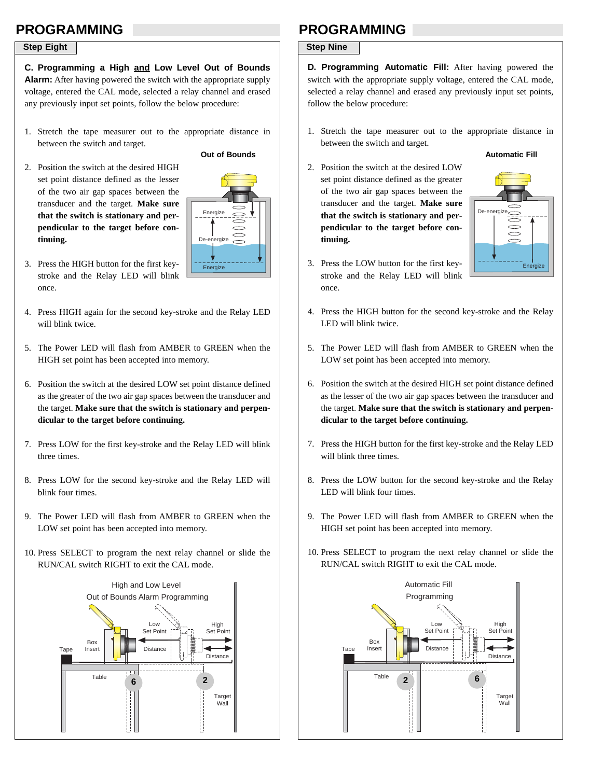### **PROGRAMMING**

### **Step Eight**

**C. Programming a High and Low Level Out of Bounds Alarm:** After having powered the switch with the appropriate supply voltage, entered the CAL mode, selected a relay channel and erased any previously input set points, follow the below procedure:

- 1. Stretch the tape measurer out to the appropriate distance in between the switch and target.
- 2. Position the switch at the desired HIGH set point distance defined as the lesser of the two air gap spaces between the transducer and the target. **Make sure that the switch is stationary and perpendicular to the target before continuing.**



**Out of Bounds**

- 3. Press the HIGH button for the first keystroke and the Relay LED will blink once.
- 4. Press HIGH again for the second key-stroke and the Relay LED will blink twice.
- 5. The Power LED will flash from AMBER to GREEN when the HIGH set point has been accepted into memory.
- 6. Position the switch at the desired LOW set point distance defined as the greater of the two air gap spaces between the transducer and the target. **Make sure that the switch is stationary and perpendicular to the target before continuing.**
- 7. Press LOW for the first key-stroke and the Relay LED will blink three times.
- 8. Press LOW for the second key-stroke and the Relay LED will blink four times.
- 9. The Power LED will flash from AMBER to GREEN when the LOW set point has been accepted into memory.
- 10. Press SELECT to program the next relay channel or slide the RUN/CAL switch RIGHT to exit the CAL mode.



## **PROGRAMMING**

### **Step Nine**

**D. Programming Automatic Fill:** After having powered the switch with the appropriate supply voltage, entered the CAL mode, selected a relay channel and erased any previously input set points, follow the below procedure:

1. Stretch the tape measurer out to the appropriate distance in between the switch and target.

#### **Automatic Fill**

2. Position the switch at the desired LOW set point distance defined as the greater of the two air gap spaces between the transducer and the target. **Make sure that the switch is stationary and perpendicular to the target before continuing.**



- 3. Press the LOW button for the first keystroke and the Relay LED will blink once.
- 4. Press the HIGH button for the second key-stroke and the Relay LED will blink twice.
- 5. The Power LED will flash from AMBER to GREEN when the LOW set point has been accepted into memory.
- 6. Position the switch at the desired HIGH set point distance defined as the lesser of the two air gap spaces between the transducer and the target. **Make sure that the switch is stationary and perpendicular to the target before continuing.**
- 7. Press the HIGH button for the first key-stroke and the Relay LED will blink three times.
- 8. Press the LOW button for the second key-stroke and the Relay LED will blink four times.
- 9. The Power LED will flash from AMBER to GREEN when the HIGH set point has been accepted into memory.
- 10. Press SELECT to program the next relay channel or slide the RUN/CAL switch RIGHT to exit the CAL mode.

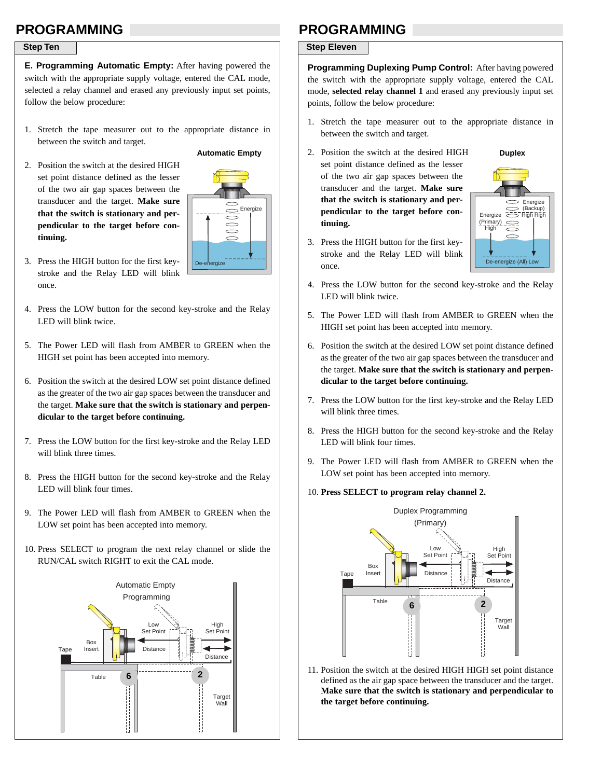## **PROGRAMMING**

#### **Step Ten**

**E. Programming Automatic Empty:** After having powered the switch with the appropriate supply voltage, entered the CAL mode, selected a relay channel and erased any previously input set points, follow the below procedure:

- 1. Stretch the tape measurer out to the appropriate distance in between the switch and target.
- 2. Position the switch at the desired HIGH set point distance defined as the lesser of the two air gap spaces between the transducer and the target. **Make sure that the switch is stationary and perpendicular to the target before continuing.**



**Automatic Empty**

- 3. Press the HIGH button for the first keystroke and the Relay LED will blink once.
- 4. Press the LOW button for the second key-stroke and the Relay LED will blink twice.
- 5. The Power LED will flash from AMBER to GREEN when the HIGH set point has been accepted into memory.
- 6. Position the switch at the desired LOW set point distance defined as the greater of the two air gap spaces between the transducer and the target. **Make sure that the switch is stationary and perpendicular to the target before continuing.**
- 7. Press the LOW button for the first key-stroke and the Relay LED will blink three times.
- 8. Press the HIGH button for the second key-stroke and the Relay LED will blink four times.
- 9. The Power LED will flash from AMBER to GREEN when the LOW set point has been accepted into memory.
- 10. Press SELECT to program the next relay channel or slide the RUN/CAL switch RIGHT to exit the CAL mode.



### **PROGRAMMING**

#### **Step Eleven**

**Programming Duplexing Pump Control:** After having powered the switch with the appropriate supply voltage, entered the CAL mode, **selected relay channel 1** and erased any previously input set points, follow the below procedure:

- 1. Stretch the tape measurer out to the appropriate distance in between the switch and target.
- 2. Position the switch at the desired HIGH set point distance defined as the lesser of the two air gap spaces between the transducer and the target. **Make sure that the switch is stationary and perpendicular to the target before continuing.**



**Duplex**

- 3. Press the HIGH button for the first keystroke and the Relay LED will blink once.
- 4. Press the LOW button for the second key-stroke and the Relay LED will blink twice.
- 5. The Power LED will flash from AMBER to GREEN when the HIGH set point has been accepted into memory.
- 6. Position the switch at the desired LOW set point distance defined as the greater of the two air gap spaces between the transducer and the target. **Make sure that the switch is stationary and perpendicular to the target before continuing.**
- 7. Press the LOW button for the first key-stroke and the Relay LED will blink three times.
- 8. Press the HIGH button for the second key-stroke and the Relay LED will blink four times.
- 9. The Power LED will flash from AMBER to GREEN when the LOW set point has been accepted into memory.
- 10. **Press SELECT to program relay channel 2.**



11. Position the switch at the desired HIGH HIGH set point distance defined as the air gap space between the transducer and the target. **Make sure that the switch is stationary and perpendicular to the target before continuing.**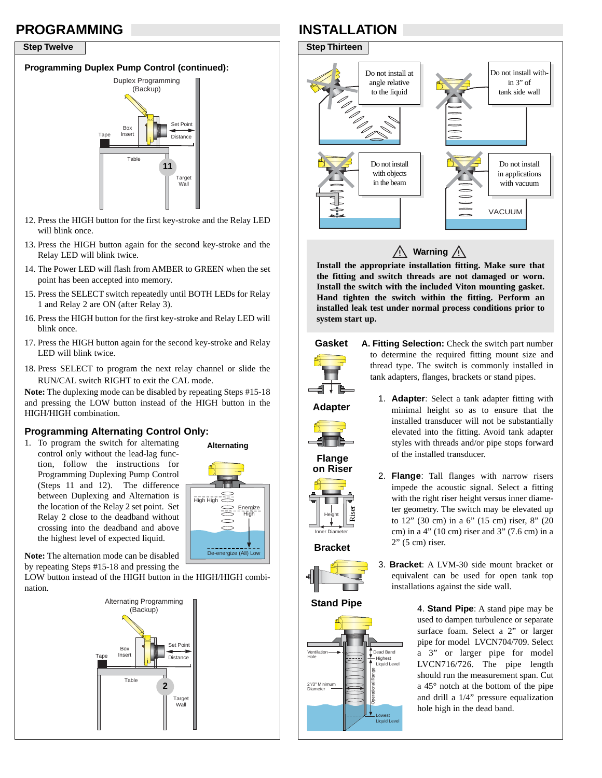### **PROGRAMMING**

#### **Step Twelve**

### **Programming Duplex Pump Control (continued):**



- 12. Press the HIGH button for the first key-stroke and the Relay LED will blink once.
- 13. Press the HIGH button again for the second key-stroke and the Relay LED will blink twice.
- 14. The Power LED will flash from AMBER to GREEN when the set point has been accepted into memory.
- 15. Press the SELECT switch repeatedly until BOTH LEDs for Relay 1 and Relay 2 are ON (after Relay 3).
- 16. Press the HIGH button for the first key-stroke and Relay LED will blink once.
- 17. Press the HIGH button again for the second key-stroke and Relay LED will blink twice.
- 18. Press SELECT to program the next relay channel or slide the RUN/CAL switch RIGHT to exit the CAL mode.

**Note:** The duplexing mode can be disabled by repeating Steps #15-18 and pressing the LOW button instead of the HIGH button in the HIGH/HIGH combination.

### **Programming Alternating Control Only:**

1. To program the switch for alternating control only without the lead-lag function, follow the instructions for Programming Duplexing Pump Control (Steps 11 and 12). The difference between Duplexing and Alternation is the location of the Relay 2 set point. Set Relay 2 close to the deadband without crossing into the deadband and above the highest level of expected liquid.



**Note:** The alternation mode can be disabled by repeating Steps #15-18 and pressing the

LOW button instead of the HIGH button in the HIGH/HIGH combination.



# **INSTALLATION**



 $\bigwedge$  Warning  $\bigwedge$ 

**Install the appropriate installation fitting. Make sure that the fitting and switch threads are not damaged or worn. Install the switch with the included Viton mounting gasket. Hand tighten the switch within the fitting. Perform an installed leak test under normal process conditions prior to system start up.**





**A. Fitting Selection:** Check the switch part number to determine the required fitting mount size and thread type. The switch is commonly installed in tank adapters, flanges, brackets or stand pipes.

**Adapter**



**on Riser**

Height Inner Diameter

**Bracket**

Riser

- 1. **Adapter**: Select a tank adapter fitting with minimal height so as to ensure that the installed transducer will not be substantially elevated into the fitting. Avoid tank adapter styles with threads and/or pipe stops forward of the installed transducer.
- 2. **Flange**: Tall flanges with narrow risers impede the acoustic signal. Select a fitting with the right riser height versus inner diameter geometry. The switch may be elevated up to 12" (30 cm) in a 6" (15 cm) riser, 8" (20 cm) in a 4" (10 cm) riser and 3" (7.6 cm) in a 2" (5 cm) riser.
- 



**Stand Pipe**



3. **Bracket**: A LVM-30 side mount bracket or equivalent can be used for open tank top installations against the side wall.

> 4. **Stand Pipe**: A stand pipe may be used to dampen turbulence or separate surface foam. Select a 2" or larger pipe for model LVCN704/709. Select a 3" or larger pipe for model LVCN716/726. The pipe length should run the measurement span. Cut a 45° notch at the bottom of the pipe and drill a 1/4" pressure equalization hole high in the dead band.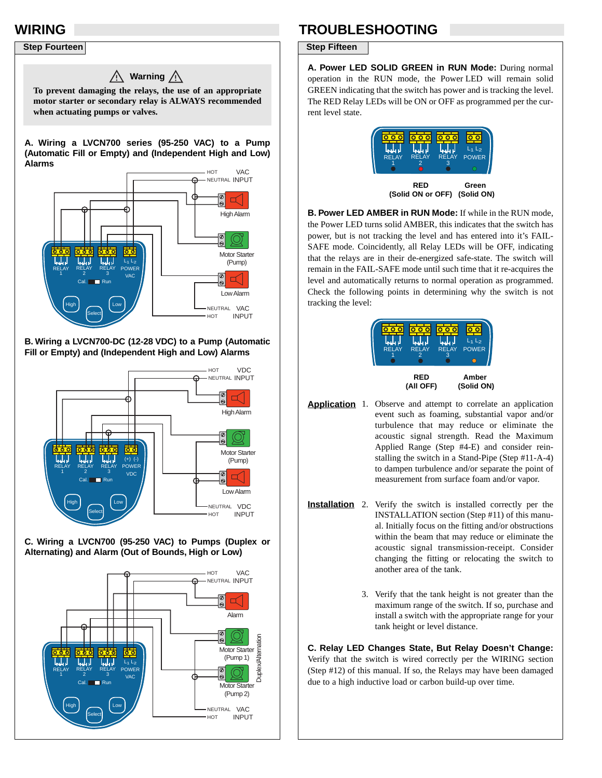### **WIRING**

### **Step Fourteen**



#### **B. Wiring a LVCN700-DC (12-28 VDC) to a Pump (Automatic Fill or Empty) and (Independent High and Low) Alarms**



**C. Wiring a LVCN700 (95-250 VAC) to Pumps (Duplex or Alternating) and Alarm (Out of Bounds, High or Low)**



# **TROUBLESHOOTING**

#### **Step Fifteen**

**A. Power LED SOLID GREEN in RUN Mode:** During normal operation in the RUN mode, the Power LED will remain solid GREEN indicating that the switch has power and is tracking the level. The RED Relay LEDs will be ON or OFF as programmed per the current level state.

| <b>RELAY</b> | <b>RELAY</b>                    | <b>RELAY</b> | $L_1$ $L_2$         |
|--------------|---------------------------------|--------------|---------------------|
|              | 2                               | з            | <b>POWER</b>        |
|              | <b>RED</b><br>(Solid ON or OFF) |              | Green<br>(Solid ON) |

**B. Power LED AMBER in RUN Mode:** If while in the RUN mode, the Power LED turns solid AMBER, this indicates that the switch has power, but is not tracking the level and has entered into it's FAIL-SAFE mode. Coincidently, all Relay LEDs will be OFF, indicating that the relays are in their de-energized safe-state. The switch will remain in the FAIL-SAFE mode until such time that it re-acquires the level and automatically returns to normal operation as programmed. Check the following points in determining why the switch is not tracking the level:

| <b>RELAY</b>     | <b>RELAY</b><br>2 | <b>RELAY</b><br>з | $L_1L_2$<br><b>POWER</b> |  |
|------------------|-------------------|-------------------|--------------------------|--|
| RED<br>(All OFF) |                   |                   | Amber<br>(Solid ON)      |  |

Application 1. Observe and attempt to correlate an application event such as foaming, substantial vapor and/or turbulence that may reduce or eliminate the acoustic signal strength. Read the Maximum Applied Range (Step #4-E) and consider reinstalling the switch in a Stand-Pipe (Step #11-A-4) to dampen turbulence and/or separate the point of measurement from surface foam and/or vapor.

- **Installation** 2. Verify the switch is installed correctly per the INSTALLATION section (Step #11) of this manual. Initially focus on the fitting and/or obstructions within the beam that may reduce or eliminate the acoustic signal transmission-receipt. Consider changing the fitting or relocating the switch to another area of the tank.
	- 3. Verify that the tank height is not greater than the maximum range of the switch. If so, purchase and install a switch with the appropriate range for your tank height or level distance.

**C. Relay LED Changes State, But Relay Doesn't Change:** Verify that the switch is wired correctly per the WIRING section (Step #12) of this manual. If so, the Relays may have been damaged due to a high inductive load or carbon build-up over time.